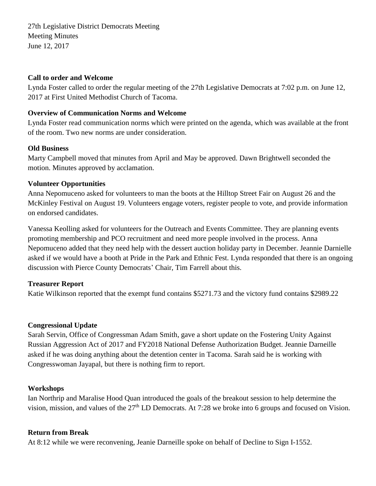27th Legislative District Democrats Meeting Meeting Minutes June 12, 2017

#### **Call to order and Welcome**

Lynda Foster called to order the regular meeting of the 27th Legislative Democrats at 7:02 p.m. on June 12, 2017 at First United Methodist Church of Tacoma.

### **Overview of Communication Norms and Welcome**

Lynda Foster read communication norms which were printed on the agenda, which was available at the front of the room. Two new norms are under consideration.

### **Old Business**

Marty Campbell moved that minutes from April and May be approved. Dawn Brightwell seconded the motion. Minutes approved by acclamation.

### **Volunteer Opportunities**

Anna Nepomuceno asked for volunteers to man the boots at the Hilltop Street Fair on August 26 and the McKinley Festival on August 19. Volunteers engage voters, register people to vote, and provide information on endorsed candidates.

Vanessa Keolling asked for volunteers for the Outreach and Events Committee. They are planning events promoting membership and PCO recruitment and need more people involved in the process. Anna Nepomuceno added that they need help with the dessert auction holiday party in December. Jeannie Darnielle asked if we would have a booth at Pride in the Park and Ethnic Fest. Lynda responded that there is an ongoing discussion with Pierce County Democrats' Chair, Tim Farrell about this.

## **Treasurer Report**

Katie Wilkinson reported that the exempt fund contains \$5271.73 and the victory fund contains \$2989.22

#### **Congressional Update**

Sarah Servin, Office of Congressman Adam Smith, gave a short update on the Fostering Unity Against Russian Aggression Act of 2017 and FY2018 National Defense Authorization Budget. Jeannie Darneille asked if he was doing anything about the detention center in Tacoma. Sarah said he is working with Congresswoman Jayapal, but there is nothing firm to report.

#### **Workshops**

Ian Northrip and Maralise Hood Quan introduced the goals of the breakout session to help determine the vision, mission, and values of the 27<sup>th</sup> LD Democrats. At 7:28 we broke into 6 groups and focused on Vision.

#### **Return from Break**

At 8:12 while we were reconvening, Jeanie Darneille spoke on behalf of Decline to Sign I-1552.